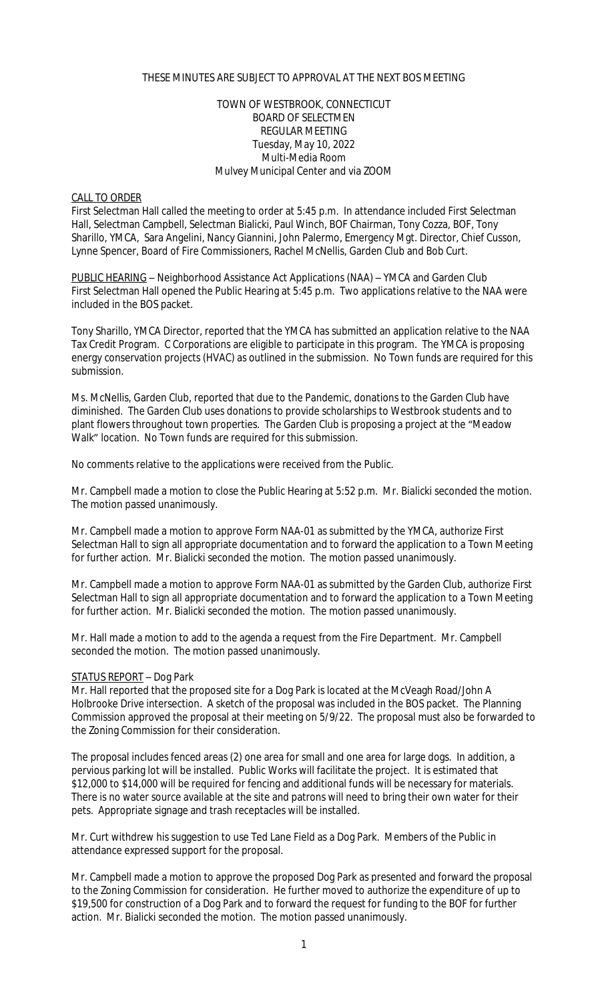#### THESE MINUTES ARE SUBJECT TO APPROVAL AT THE NEXT BOS MEETING

#### TOWN OF WESTBROOK, CONNECTICUT BOARD OF SELECTMEN REGULAR MEETING Tuesday, May 10, 2022 Multi-Media Room Mulvey Municipal Center and via ZOOM

#### CALL TO ORDER

First Selectman Hall called the meeting to order at 5:45 p.m. In attendance included First Selectman Hall, Selectman Campbell, Selectman Bialicki, Paul Winch, BOF Chairman, Tony Cozza, BOF, Tony Sharillo, YMCA, Sara Angelini, Nancy Giannini, John Palermo, Emergency Mgt. Director, Chief Cusson, Lynne Spencer, Board of Fire Commissioners, Rachel McNellis, Garden Club and Bob Curt.

PUBLIC HEARING – Neighborhood Assistance Act Applications (NAA) – YMCA and Garden Club First Selectman Hall opened the Public Hearing at 5:45 p.m. Two applications relative to the NAA were included in the BOS packet.

Tony Sharillo, YMCA Director, reported that the YMCA has submitted an application relative to the NAA Tax Credit Program. C Corporations are eligible to participate in this program. The YMCA is proposing energy conservation projects (HVAC) as outlined in the submission. No Town funds are required for this submission.

Ms. McNellis, Garden Club, reported that due to the Pandemic, donations to the Garden Club have diminished. The Garden Club uses donations to provide scholarships to Westbrook students and to plant flowers throughout town properties. The Garden Club is proposing a project at the "Meadow Walk" location. No Town funds are required for this submission.

No comments relative to the applications were received from the Public.

Mr. Campbell made a motion to close the Public Hearing at 5:52 p.m. Mr. Bialicki seconded the motion. The motion passed unanimously.

Mr. Campbell made a motion to approve Form NAA-01 as submitted by the YMCA, authorize First Selectman Hall to sign all appropriate documentation and to forward the application to a Town Meeting for further action. Mr. Bialicki seconded the motion. The motion passed unanimously.

Mr. Campbell made a motion to approve Form NAA-01 as submitted by the Garden Club, authorize First Selectman Hall to sign all appropriate documentation and to forward the application to a Town Meeting for further action. Mr. Bialicki seconded the motion. The motion passed unanimously.

Mr. Hall made a motion to add to the agenda a request from the Fire Department. Mr. Campbell seconded the motion. The motion passed unanimously.

#### STATUS REPORT – Dog Park

Mr. Hall reported that the proposed site for a Dog Park is located at the McVeagh Road/John A Holbrooke Drive intersection. A sketch of the proposal was included in the BOS packet. The Planning Commission approved the proposal at their meeting on 5/9/22. The proposal must also be forwarded to the Zoning Commission for their consideration.

The proposal includes fenced areas (2) one area for small and one area for large dogs. In addition, a pervious parking lot will be installed. Public Works will facilitate the project. It is estimated that \$12,000 to \$14,000 will be required for fencing and additional funds will be necessary for materials. There is no water source available at the site and patrons will need to bring their own water for their pets. Appropriate signage and trash receptacles will be installed.

Mr. Curt withdrew his suggestion to use Ted Lane Field as a Dog Park. Members of the Public in attendance expressed support for the proposal.

Mr. Campbell made a motion to approve the proposed Dog Park as presented and forward the proposal to the Zoning Commission for consideration. He further moved to authorize the expenditure of up to \$19,500 for construction of a Dog Park and to forward the request for funding to the BOF for further action. Mr. Bialicki seconded the motion. The motion passed unanimously.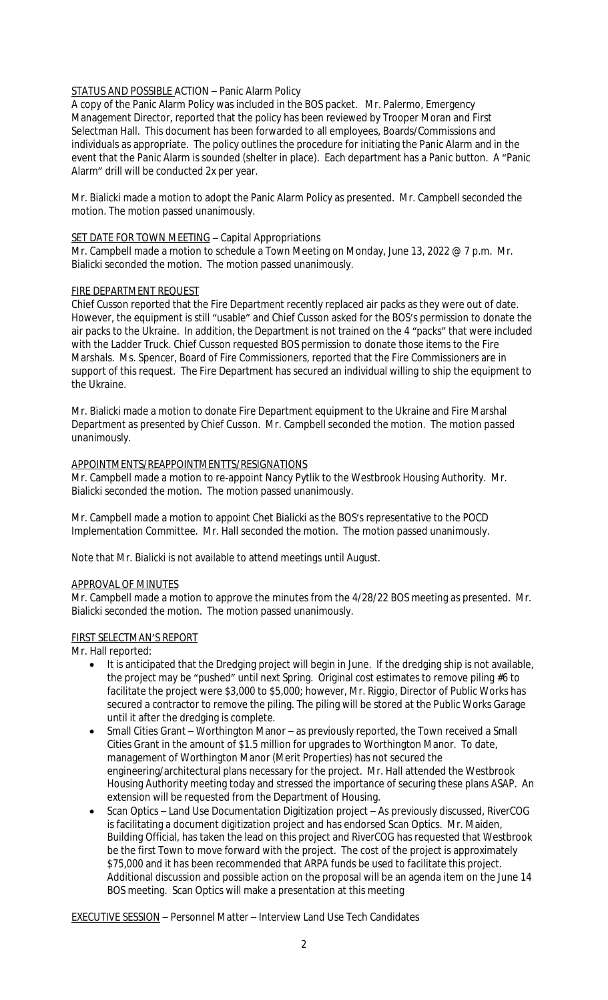## STATUS AND POSSIBLE ACTION – Panic Alarm Policy

A copy of the Panic Alarm Policy was included in the BOS packet. Mr. Palermo, Emergency Management Director, reported that the policy has been reviewed by Trooper Moran and First Selectman Hall. This document has been forwarded to all employees, Boards/Commissions and individuals as appropriate. The policy outlines the procedure for initiating the Panic Alarm and in the event that the Panic Alarm is sounded (shelter in place). Each department has a Panic button. A "Panic Alarm" drill will be conducted 2x per year.

Mr. Bialicki made a motion to adopt the Panic Alarm Policy as presented. Mr. Campbell seconded the motion. The motion passed unanimously.

## SET DATE FOR TOWN MEETING - Capital Appropriations

Mr. Campbell made a motion to schedule a Town Meeting on Monday, June 13, 2022 @ 7 p.m. Mr. Bialicki seconded the motion. The motion passed unanimously.

## FIRE DEPARTMENT REQUEST

Chief Cusson reported that the Fire Department recently replaced air packs as they were out of date. However, the equipment is still "usable" and Chief Cusson asked for the BOS's permission to donate the air packs to the Ukraine. In addition, the Department is not trained on the 4 "packs" that were included with the Ladder Truck. Chief Cusson requested BOS permission to donate those items to the Fire Marshals. Ms. Spencer, Board of Fire Commissioners, reported that the Fire Commissioners are in support of this request. The Fire Department has secured an individual willing to ship the equipment to the Ukraine.

Mr. Bialicki made a motion to donate Fire Department equipment to the Ukraine and Fire Marshal Department as presented by Chief Cusson. Mr. Campbell seconded the motion. The motion passed unanimously.

## APPOINTMENTS/REAPPOINTMENTTS/RESIGNATIONS

Mr. Campbell made a motion to re-appoint Nancy Pytlik to the Westbrook Housing Authority. Mr. Bialicki seconded the motion. The motion passed unanimously.

Mr. Campbell made a motion to appoint Chet Bialicki as the BOS's representative to the POCD Implementation Committee. Mr. Hall seconded the motion. The motion passed unanimously.

Note that Mr. Bialicki is not available to attend meetings until August.

## APPROVAL OF MINUTES

Mr. Campbell made a motion to approve the minutes from the 4/28/22 BOS meeting as presented. Mr. Bialicki seconded the motion. The motion passed unanimously.

## FIRST SELECTMAN'S REPORT

Mr. Hall reported:

- It is anticipated that the Dredging project will begin in June. If the dredging ship is not available, the project may be "pushed" until next Spring. Original cost estimates to remove piling #6 to facilitate the project were \$3,000 to \$5,000; however, Mr. Riggio, Director of Public Works has secured a contractor to remove the piling. The piling will be stored at the Public Works Garage until it after the dredging is complete.
- Small Cities Grant Worthington Manor as previously reported, the Town received a Small Cities Grant in the amount of \$1.5 million for upgrades to Worthington Manor. To date, management of Worthington Manor (Merit Properties) has not secured the engineering/architectural plans necessary for the project. Mr. Hall attended the Westbrook Housing Authority meeting today and stressed the importance of securing these plans ASAP. An extension will be requested from the Department of Housing.
- Scan Optics Land Use Documentation Digitization project As previously discussed, RiverCOG is facilitating a document digitization project and has endorsed Scan Optics. Mr. Maiden, Building Official, has taken the lead on this project and RiverCOG has requested that Westbrook be the first Town to move forward with the project. The cost of the project is approximately \$75,000 and it has been recommended that ARPA funds be used to facilitate this project. Additional discussion and possible action on the proposal will be an agenda item on the June 14 BOS meeting. Scan Optics will make a presentation at this meeting

EXECUTIVE SESSION – Personnel Matter – Interview Land Use Tech Candidates